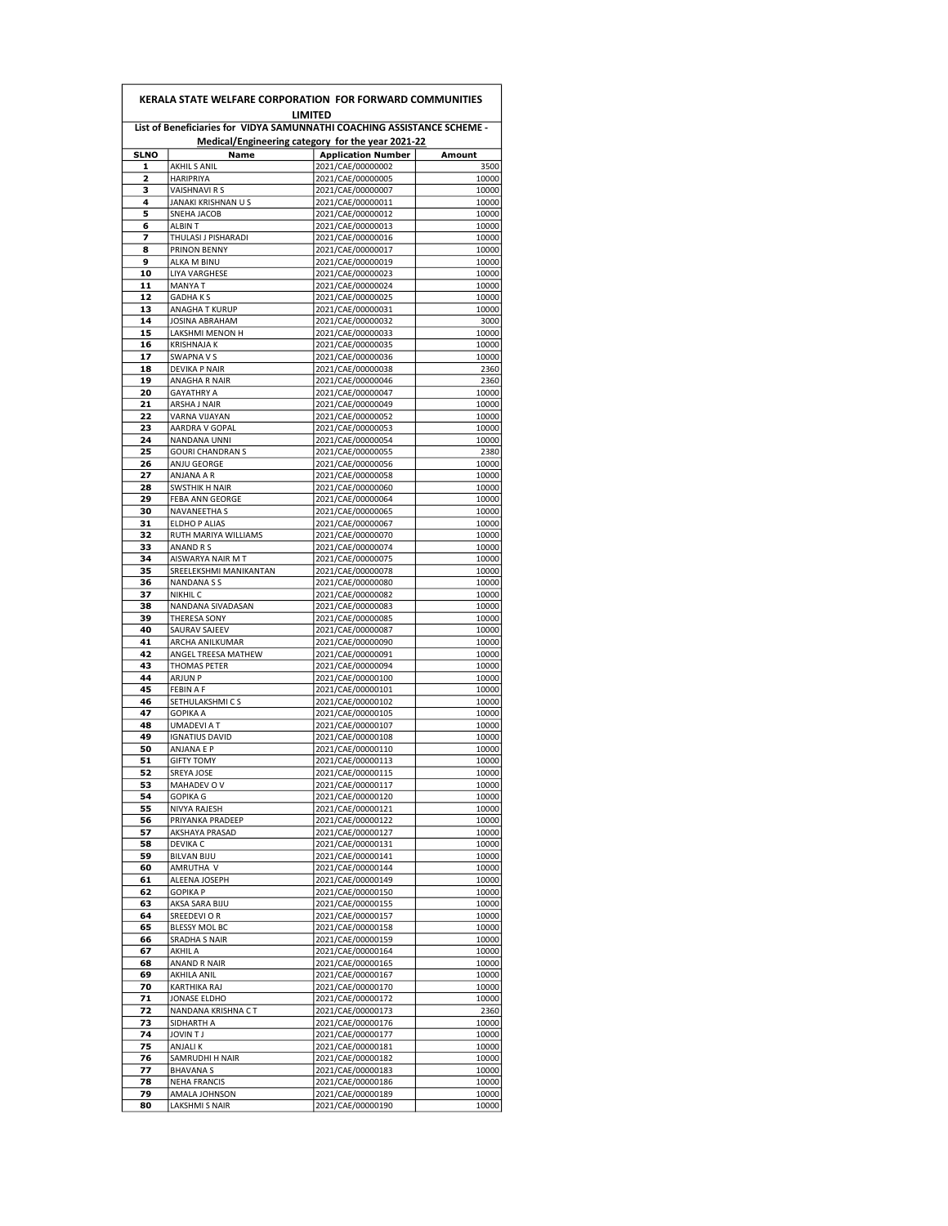|             |                                             | List of Beneficiaries for VIDYA SAMUNNATHI COACHING ASSISTANCE SCHEME -<br>Medical/Engineering category for the year 2021-22 |                |
|-------------|---------------------------------------------|------------------------------------------------------------------------------------------------------------------------------|----------------|
| <b>SLNO</b> | Name                                        | <b>Application Number</b>                                                                                                    | Amount         |
| 1           | AKHIL S ANIL                                | 2021/CAE/00000002                                                                                                            | 3500           |
| 2<br>з      | <b>HARIPRIYA</b>                            | 2021/CAE/00000005                                                                                                            | 10000          |
| 4           | VAISHNAVI R S<br><b>JANAKI KRISHNAN U S</b> | 2021/CAE/00000007<br>2021/CAE/00000011                                                                                       | 10000<br>10000 |
| 5           | SNEHA JACOB                                 | 2021/CAE/00000012                                                                                                            | 10000          |
| 6           | <b>ALBIN T</b>                              | 2021/CAE/00000013                                                                                                            | 10000          |
| 7           | THULASI J PISHARADI                         | 2021/CAE/00000016                                                                                                            | 10000          |
| 8           | PRINON BENNY                                | 2021/CAE/00000017                                                                                                            | 10000          |
| 9           | ALKA M BINU                                 | 2021/CAE/00000019                                                                                                            | 10000          |
| 10          | <b>LIYA VARGHESE</b>                        | 2021/CAE/00000023                                                                                                            | 10000          |
| 11          | <b>MANYAT</b>                               | 2021/CAE/00000024                                                                                                            | 10000          |
| 12          | <b>GADHAKS</b>                              | 2021/CAE/00000025                                                                                                            | 10000          |
| 13          | ANAGHA T KURUP                              | 2021/CAE/00000031                                                                                                            | 10000          |
| 14          | <b>JOSINA ABRAHAM</b>                       | 2021/CAE/00000032                                                                                                            | 3000           |
| 15          | LAKSHMI MENON H                             | 2021/CAE/00000033                                                                                                            | 10000          |
| 16          | <b>KRISHNAJA K</b>                          | 2021/CAE/00000035                                                                                                            | 10000          |
| 17          | SWAPNA V S                                  | 2021/CAE/00000036                                                                                                            | 10000          |
| 18          | DEVIKA P NAIR                               | 2021/CAE/00000038                                                                                                            | 2360           |
| 19          | ANAGHA R NAIR<br><b>GAYATHRY A</b>          | 2021/CAE/00000046                                                                                                            | 2360<br>10000  |
| 20<br>21    | ARSHA J NAIR                                | 2021/CAE/00000047<br>2021/CAE/00000049                                                                                       | 10000          |
| 22          | VARNA VIJAYAN                               | 2021/CAE/00000052                                                                                                            | 10000          |
| 23          | AARDRA V GOPAL                              | 2021/CAE/00000053                                                                                                            | 10000          |
| 24          | NANDANA UNNI                                | 2021/CAE/00000054                                                                                                            | 10000          |
| 25          | <b>GOURI CHANDRAN S</b>                     | 2021/CAE/00000055                                                                                                            | 2380           |
| 26          | ANJU GEORGE                                 | 2021/CAE/00000056                                                                                                            | 10000          |
| 27          | ANJANA A R                                  | 2021/CAE/00000058                                                                                                            | 10000          |
| 28          | <b>SWSTHIK H NAIR</b>                       | 2021/CAE/00000060                                                                                                            | 10000          |
| 29          | FEBA ANN GEORGE                             | 2021/CAE/00000064                                                                                                            | 10000          |
| 30          | NAVANEETHA S                                | 2021/CAE/00000065                                                                                                            | 10000          |
| 31          | ELDHO P ALIAS                               | 2021/CAE/00000067                                                                                                            | 10000          |
| 32          | RUTH MARIYA WILLIAMS                        | 2021/CAE/00000070                                                                                                            | 10000          |
| 33          | ANAND R S                                   | 2021/CAE/00000074                                                                                                            | 10000          |
| 34          | AISWARYA NAIR M T                           | 2021/CAE/00000075                                                                                                            | 10000          |
| 35          | SREELEKSHMI MANIKANTAN                      | 2021/CAE/00000078                                                                                                            | 10000          |
| 36          | NANDANA S S                                 | 2021/CAE/00000080                                                                                                            | 10000          |
| 37          | <b>NIKHIL C</b>                             | 2021/CAE/00000082                                                                                                            | 10000          |
| 38          | NANDANA SIVADASAN                           | 2021/CAE/00000083                                                                                                            | 10000          |
| 39          | THERESA SONY                                | 2021/CAE/00000085                                                                                                            | 10000          |
| 40          | SAURAV SAJEEV                               | 2021/CAE/00000087                                                                                                            | 10000          |
| 41          | ARCHA ANILKUMAR                             | 2021/CAE/00000090                                                                                                            | 10000          |
| 42          | ANGEL TREESA MATHEW                         | 2021/CAE/00000091                                                                                                            | 10000          |
| 43<br>44    | <b>THOMAS PETER</b><br><b>ARJUN P</b>       | 2021/CAE/00000094                                                                                                            | 10000          |
| 45          | <b>FEBIN A F</b>                            | 2021/CAE/00000100                                                                                                            | 10000<br>10000 |
| 46          | SETHULAKSHMI C S                            | 2021/CAE/00000101<br>2021/CAE/00000102                                                                                       | 10000          |
| 47          | <b>GOPIKA A</b>                             |                                                                                                                              | 10000          |
| 48          | <b>UMADEVIAT</b>                            | 2021/CAE/00000105<br>2021/CAE/00000107                                                                                       | 10000          |
| 49          | <b>IGNATIUS DAVID</b>                       | 2021/CAE/00000108                                                                                                            | 10000          |
| 50          | ANJANA E P                                  | 2021/CAE/00000110                                                                                                            | 10000          |
| 51          | <b>GIFTY TOMY</b>                           | 2021/CAE/00000113                                                                                                            | 10000          |
| 52          | SREYA JOSE                                  | 2021/CAE/00000115                                                                                                            | 10000          |
| 53          | MAHADEV OV                                  | 2021/CAE/00000117                                                                                                            | 10000          |
| 54          | <b>GOPIKA G</b>                             | 2021/CAE/00000120                                                                                                            | 10000          |
| 55          | NIVYA RAJESH                                | 2021/CAE/00000121                                                                                                            | 10000          |
| 56          | PRIYANKA PRADEEP                            | 2021/CAE/00000122                                                                                                            | 10000          |
| 57          | AKSHAYA PRASAD                              | 2021/CAE/00000127                                                                                                            | 10000          |
| 58          | DEVIKA C                                    | 2021/CAE/00000131                                                                                                            | 10000          |
| 59          | <b>BILVAN BIJU</b>                          | 2021/CAE/00000141                                                                                                            | 10000          |
| 60          | AMRUTHA V                                   | 2021/CAE/00000144                                                                                                            | 10000          |
| 61          | ALEENA JOSEPH                               | 2021/CAE/00000149                                                                                                            | 10000          |
| 62          | <b>GOPIKA P</b>                             | 2021/CAE/00000150                                                                                                            | 10000          |
| 63          | AKSA SARA BIJU                              | 2021/CAE/00000155                                                                                                            | 10000          |
| 64          | SREEDEVI OR                                 | 2021/CAE/00000157                                                                                                            | 10000          |
| 65          | BLESSY MOL BC                               | 2021/CAE/00000158                                                                                                            | 10000          |
| 66          | SRADHA S NAIR                               | 2021/CAE/00000159                                                                                                            | 10000          |
| 67          | AKHIL A                                     | 2021/CAE/00000164                                                                                                            | 10000          |
| 68          | ANAND R NAIR                                | 2021/CAE/00000165<br>2021/CAE/00000167                                                                                       | 10000          |
| 69          | AKHILA ANIL                                 |                                                                                                                              | 10000          |
| 70<br>71    | KARTHIKA RAJ                                | 2021/CAE/00000170                                                                                                            | 10000          |
|             | JONASE ELDHO                                | 2021/CAE/00000172                                                                                                            | 10000          |
| 72<br>73    | NANDANA KRISHNA CT<br>SIDHARTH A            | 2021/CAE/00000173                                                                                                            | 2360           |
| 74          | <b>LT NIVOL</b>                             | 2021/CAE/00000176<br>2021/CAE/00000177                                                                                       | 10000<br>10000 |
| 75          | ANJALI K                                    | 2021/CAE/00000181                                                                                                            | 10000          |
| 76          | SAMRUDHI H NAIR                             | 2021/CAE/00000182                                                                                                            | 10000          |
| 77          | <b>BHAVANA S</b>                            | 2021/CAE/00000183                                                                                                            | 10000          |
| 78          | <b>NEHA FRANCIS</b>                         | 2021/CAE/00000186                                                                                                            | 10000          |
| 79          | AMALA JOHNSON                               | 2021/CAE/00000189                                                                                                            | 10000          |
| 80          | LAKSHMI S NAIR                              | 2021/CAE/00000190                                                                                                            | 10000          |
|             |                                             |                                                                                                                              |                |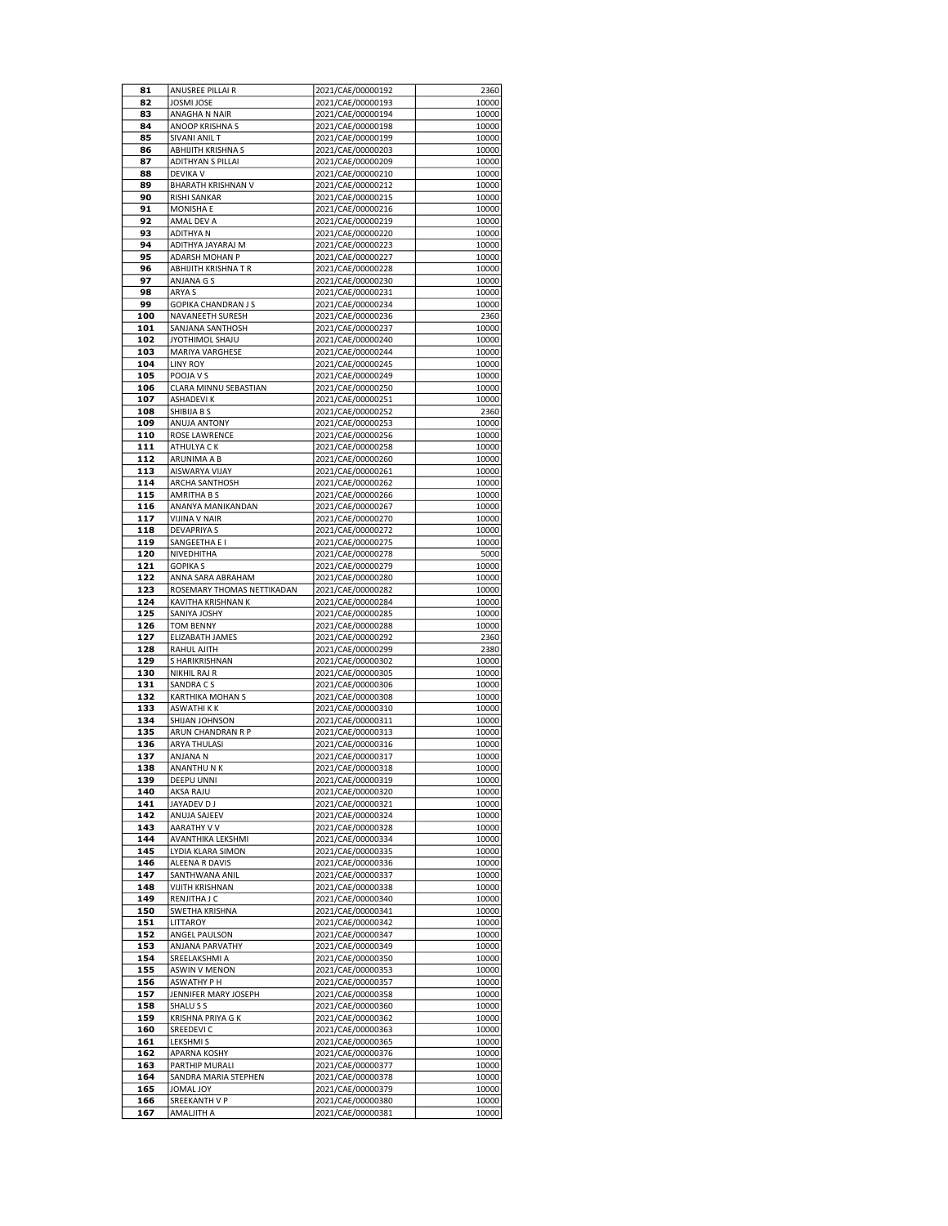| 81  | ANUSREE PILLAI R           | 2021/CAE/00000192 | 2360  |
|-----|----------------------------|-------------------|-------|
| 82  | <b>JOSMI JOSE</b>          | 2021/CAE/00000193 | 10000 |
| 83  | ANAGHA N NAIR              | 2021/CAE/00000194 | 10000 |
| 84  | ANOOP KRISHNA S            | 2021/CAE/00000198 | 10000 |
| 85  | SIVANI ANIL T              | 2021/CAE/00000199 | 10000 |
| 86  | ABHIJITH KRISHNA S         | 2021/CAE/00000203 | 10000 |
| 87  | <b>ADITHYAN S PILLAI</b>   | 2021/CAE/00000209 | 10000 |
| 88  | <b>DEVIKA V</b>            | 2021/CAE/00000210 | 10000 |
| 89  | <b>BHARATH KRISHNAN V</b>  | 2021/CAE/00000212 | 10000 |
| 90  | <b>RISHI SANKAR</b>        | 2021/CAE/00000215 | 10000 |
| 91  | <b>MONISHA E</b>           | 2021/CAE/00000216 | 10000 |
| 92  | AMAL DEV A                 | 2021/CAE/00000219 | 10000 |
| 93  | <b>ADITHYAN</b>            | 2021/CAE/00000220 | 10000 |
| 94  | ADITHYA JAYARAJ M          | 2021/CAE/00000223 | 10000 |
| 95  | <b>ADARSH MOHAN P</b>      | 2021/CAE/00000227 | 10000 |
| 96  |                            |                   | 10000 |
|     | ABHIJITH KRISHNA T R       | 2021/CAE/00000228 |       |
| 97  | ANJANA G S                 | 2021/CAE/00000230 | 10000 |
| 98  | ARYA S                     | 2021/CAE/00000231 | 10000 |
| 99  | <b>GOPIKA CHANDRAN J S</b> | 2021/CAE/00000234 | 10000 |
| 100 | NAVANEETH SURESH           | 2021/CAE/00000236 | 2360  |
| 101 | SANJANA SANTHOSH           | 2021/CAE/00000237 | 10000 |
| 102 | JYOTHIMOL SHAJU            | 2021/CAE/00000240 | 10000 |
| 103 | MARIYA VARGHESE            | 2021/CAE/00000244 | 10000 |
| 104 | <b>LINY ROY</b>            | 2021/CAE/00000245 | 10000 |
| 105 | POOJA V S                  | 2021/CAE/00000249 | 10000 |
| 106 | CLARA MINNU SEBASTIAN      | 2021/CAE/00000250 | 10000 |
| 107 | <b>ASHADEVIK</b>           | 2021/CAE/00000251 | 10000 |
| 108 | SHIBIJA B S                | 2021/CAE/00000252 | 2360  |
| 109 | ANUJA ANTONY               | 2021/CAE/00000253 | 10000 |
| 110 | ROSE LAWRENCE              | 2021/CAE/00000256 | 10000 |
| 111 | ATHULYA C K                | 2021/CAE/00000258 | 10000 |
| 112 | ARUNIMA A B                | 2021/CAE/00000260 | 10000 |
| 113 | AISWARYA VIJAY             |                   |       |
|     |                            | 2021/CAE/00000261 | 10000 |
| 114 | ARCHA SANTHOSH             | 2021/CAE/00000262 | 10000 |
| 115 | AMRITHA B S                | 2021/CAE/00000266 | 10000 |
| 116 | ANANYA MANIKANDAN          | 2021/CAE/00000267 | 10000 |
| 117 | <b>VIJINA V NAIR</b>       | 2021/CAE/00000270 | 10000 |
| 118 | <b>DEVAPRIYA S</b>         | 2021/CAE/00000272 | 10000 |
| 119 | SANGEETHA E I              | 2021/CAE/00000275 | 10000 |
| 120 | NIVEDHITHA                 | 2021/CAE/00000278 | 5000  |
| 121 | <b>GOPIKA S</b>            | 2021/CAE/00000279 | 10000 |
| 122 | ANNA SARA ABRAHAM          | 2021/CAE/00000280 | 10000 |
| 123 | ROSEMARY THOMAS NETTIKADAN | 2021/CAE/00000282 | 10000 |
| 124 | KAVITHA KRISHNAN K         | 2021/CAE/00000284 | 10000 |
| 125 | SANIYA JOSHY               | 2021/CAE/00000285 | 10000 |
| 126 | <b>TOM BENNY</b>           | 2021/CAE/00000288 | 10000 |
| 127 | ELIZABATH JAMES            | 2021/CAE/00000292 | 2360  |
|     |                            |                   |       |
| 128 | RAHUL AJITH                | 2021/CAE/00000299 | 2380  |
| 129 | S HARIKRISHNAN             | 2021/CAE/00000302 | 10000 |
| 130 | NIKHIL RAJ R               | 2021/CAE/00000305 | 10000 |
| 131 | SANDRA CS                  | 2021/CAE/00000306 | 10000 |
| 132 | KARTHIKA MOHAN S           | 2021/CAE/00000308 | 10000 |
| 133 | <b>ASWATHIKK</b>           | 2021/CAE/00000310 | 10000 |
| 134 | SHIJAN JOHNSON             | 2021/CAE/00000311 | 10000 |
| 135 | ARUN CHANDRAN R P          | 2021/CAE/00000313 | 10000 |
| 136 | <b>ARYA THULASI</b>        | 2021/CAE/00000316 | 10000 |
| 137 | ANJANA N                   | 2021/CAE/00000317 | 10000 |
| 138 | ANANTHUNK                  | 2021/CAE/00000318 | 10000 |
| 139 | DEEPU UNNI                 | 2021/CAE/00000319 | 10000 |
| 140 | AKSA RAJU                  | 2021/CAE/00000320 | 10000 |
| 141 | JAYADEV D J                | 2021/CAE/00000321 | 10000 |
| 142 | ANUJA SAJEEV               | 2021/CAE/00000324 | 10000 |
| 143 | AARATHY V V                | 2021/CAE/00000328 | 10000 |
|     | AVANTHIKA LEKSHMI          | 2021/CAE/00000334 | 10000 |
| 144 |                            |                   |       |
| 145 | LYDIA KLARA SIMON          | 2021/CAE/00000335 | 10000 |
| 146 | ALEENA R DAVIS             | 2021/CAE/00000336 | 10000 |
| 147 | SANTHWANA ANIL             | 2021/CAE/00000337 | 10000 |
| 148 | <b>VIJITH KRISHNAN</b>     | 2021/CAE/00000338 | 10000 |
| 149 | RENJITHA J C               | 2021/CAE/00000340 | 10000 |
| 150 | SWETHA KRISHNA             | 2021/CAE/00000341 | 10000 |
| 151 | LITTAROY                   | 2021/CAE/00000342 | 10000 |
| 152 | ANGEL PAULSON              | 2021/CAE/00000347 | 10000 |
| 153 | ANJANA PARVATHY            | 2021/CAE/00000349 | 10000 |
| 154 | SREELAKSHMI A              | 2021/CAE/00000350 | 10000 |
| 155 | <b>ASWIN V MENON</b>       | 2021/CAE/00000353 | 10000 |
| 156 | <b>ASWATHY P H</b>         | 2021/CAE/00000357 | 10000 |
| 157 | JENNIFER MARY JOSEPH       | 2021/CAE/00000358 | 10000 |
|     |                            |                   |       |
| 158 | SHALU S S                  | 2021/CAE/00000360 | 10000 |
| 159 | KRISHNA PRIYA G K          | 2021/CAE/00000362 | 10000 |
| 160 | SREEDEVI C                 | 2021/CAE/00000363 | 10000 |
| 161 | <b>LEKSHMI S</b>           | 2021/CAE/00000365 | 10000 |
| 162 | APARNA KOSHY               | 2021/CAE/00000376 | 10000 |
| 163 | PARTHIP MURALI             | 2021/CAE/00000377 | 10000 |
| 164 | SANDRA MARIA STEPHEN       | 2021/CAE/00000378 | 10000 |
| 165 | JOMAL JOY                  | 2021/CAE/00000379 | 10000 |
| 166 | SREEKANTH V P              | 2021/CAE/00000380 | 10000 |
| 167 | AMALJITH A                 | 2021/CAE/00000381 | 10000 |
|     |                            |                   |       |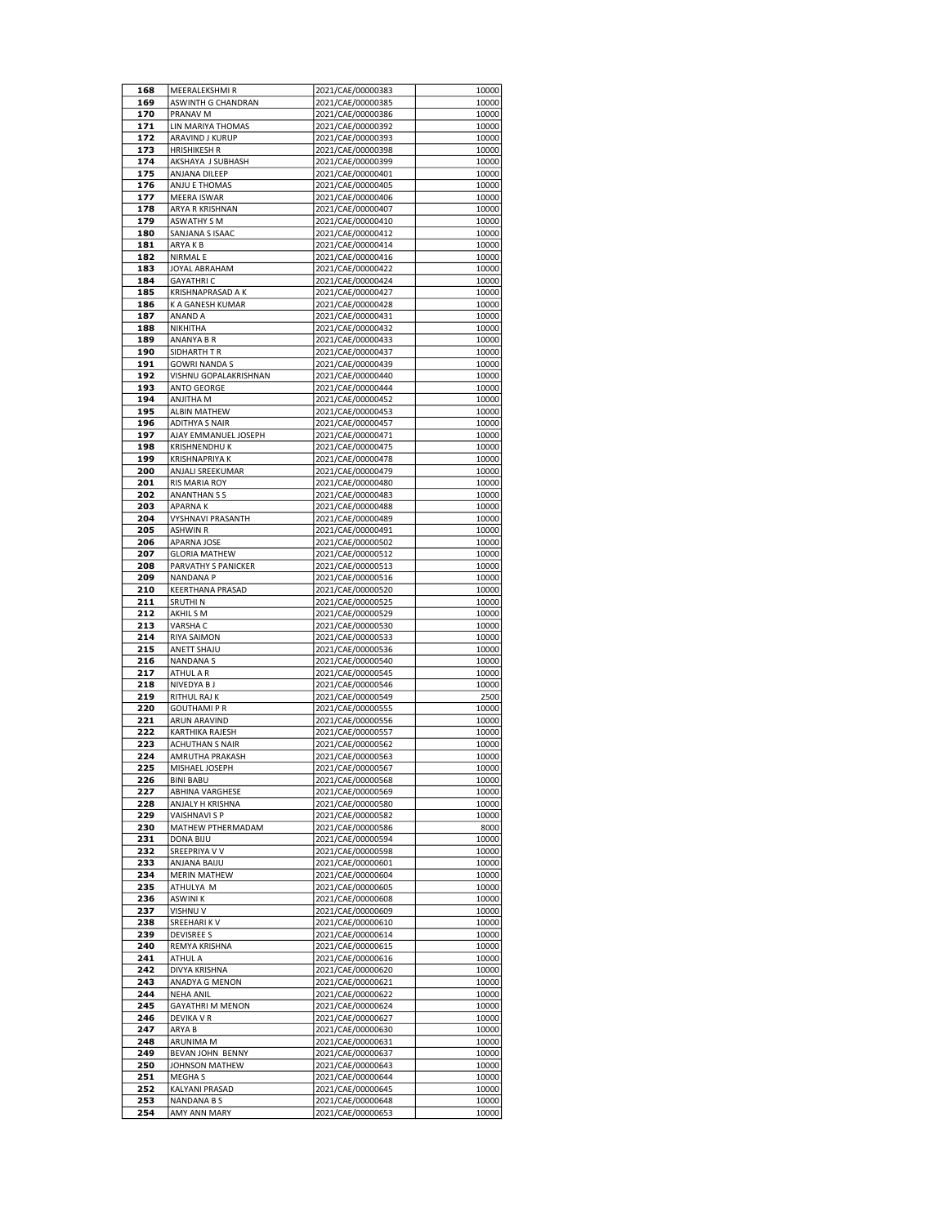| 168 | MEERALEKSHMI R           | 2021/CAE/00000383 | 10000 |
|-----|--------------------------|-------------------|-------|
| 169 | ASWINTH G CHANDRAN       | 2021/CAE/00000385 | 10000 |
| 170 | <b>PRANAV M</b>          | 2021/CAE/00000386 | 10000 |
| 171 | LIN MARIYA THOMAS        | 2021/CAE/00000392 | 10000 |
| 172 | ARAVIND J KURUP          | 2021/CAE/00000393 | 10000 |
| 173 | <b>HRISHIKESH R</b>      | 2021/CAE/00000398 | 10000 |
| 174 | AKSHAYA J SUBHASH        | 2021/CAE/00000399 | 10000 |
| 175 | ANJANA DILEEP            | 2021/CAE/00000401 | 10000 |
| 176 | ANJU E THOMAS            | 2021/CAE/00000405 | 10000 |
| 177 |                          |                   | 10000 |
|     | <b>MEERA ISWAR</b>       | 2021/CAE/00000406 |       |
| 178 | ARYA R KRISHNAN          | 2021/CAE/00000407 | 10000 |
| 179 | <b>ASWATHY S M</b>       | 2021/CAE/00000410 | 10000 |
| 180 | SANJANA S ISAAC          | 2021/CAE/00000412 | 10000 |
| 181 | ARYAKB                   | 2021/CAE/00000414 | 10000 |
| 182 | <b>NIRMAL E</b>          | 2021/CAE/00000416 | 10000 |
| 183 | JOYAL ABRAHAM            | 2021/CAE/00000422 | 10000 |
| 184 | <b>GAYATHRIC</b>         | 2021/CAE/00000424 | 10000 |
| 185 | KRISHNAPRASAD A K        | 2021/CAE/00000427 | 10000 |
| 186 | K A GANESH KUMAR         | 2021/CAE/00000428 | 10000 |
| 187 | ANAND A                  | 2021/CAE/00000431 | 10000 |
| 188 | NIKHITHA                 | 2021/CAE/00000432 | 10000 |
| 189 | ANANYA B R               | 2021/CAE/00000433 | 10000 |
| 190 | SIDHARTH T R             | 2021/CAE/00000437 | 10000 |
| 191 | <b>GOWRI NANDA S</b>     | 2021/CAE/00000439 | 10000 |
| 192 | VISHNU GOPALAKRISHNAN    | 2021/CAE/00000440 | 10000 |
|     |                          |                   |       |
| 193 | ANTO GEORGE              | 2021/CAE/00000444 | 10000 |
| 194 | ANJITHA M                | 2021/CAE/00000452 | 10000 |
| 195 | <b>ALBIN MATHEW</b>      | 2021/CAE/00000453 | 10000 |
| 196 | <b>ADITHYA S NAIR</b>    | 2021/CAE/00000457 | 10000 |
| 197 | AJAY EMMANUEL JOSEPH     | 2021/CAE/00000471 | 10000 |
| 198 | <b>KRISHNENDHUK</b>      | 2021/CAE/00000475 | 10000 |
| 199 | <b>KRISHNAPRIYA K</b>    | 2021/CAE/00000478 | 10000 |
| 200 | ANJALI SREEKUMAR         | 2021/CAE/00000479 | 10000 |
| 201 | <b>RIS MARIA ROY</b>     | 2021/CAE/00000480 | 10000 |
| 202 | <b>ANANTHAN S S</b>      | 2021/CAE/00000483 | 10000 |
| 203 | <b>APARNAK</b>           | 2021/CAE/00000488 | 10000 |
| 204 | <b>VYSHNAVI PRASANTH</b> | 2021/CAE/00000489 | 10000 |
| 205 | ASHWIN R                 | 2021/CAE/00000491 | 10000 |
| 206 | APARNA JOSE              | 2021/CAE/00000502 | 10000 |
| 207 | <b>GLORIA MATHEW</b>     | 2021/CAE/00000512 | 10000 |
|     |                          |                   |       |
| 208 | PARVATHY S PANICKER      | 2021/CAE/00000513 | 10000 |
| 209 | <b>NANDANA P</b>         | 2021/CAE/00000516 | 10000 |
| 210 | KEERTHANA PRASAD         | 2021/CAE/00000520 | 10000 |
| 211 | <b>SRUTHIN</b>           | 2021/CAE/00000525 | 10000 |
| 212 | AKHIL SM                 | 2021/CAE/00000529 | 10000 |
| 213 | VARSHA C                 | 2021/CAE/00000530 | 10000 |
| 214 | <b>RIYA SAIMON</b>       | 2021/CAE/00000533 | 10000 |
| 215 | ANETT SHAJU              | 2021/CAE/00000536 | 10000 |
| 216 | <b>NANDANAS</b>          | 2021/CAE/00000540 | 10000 |
| 217 | ATHUL A R                | 2021/CAE/00000545 | 10000 |
| 218 | NIVEDYA B J              | 2021/CAE/00000546 | 10000 |
| 219 | RITHUL RAJ K             | 2021/CAE/00000549 | 2500  |
| 220 | <b>GOUTHAMI P R</b>      | 2021/CAE/00000555 | 10000 |
| 221 | ARUN ARAVIND             | 2021/CAE/00000556 | 10000 |
| 222 | KARTHIKA RAJESH          | 2021/CAE/00000557 | 10000 |
| 223 | <b>ACHUTHAN S NAIR</b>   |                   |       |
|     |                          | 2021/CAE/00000562 | 10000 |
| 224 | AMRUTHA PRAKASH          | 2021/CAE/00000563 | 10000 |
| 225 | MISHAEL JOSEPH           | 2021/CAE/00000567 | 10000 |
| 226 | <b>BINI BABU</b>         | 2021/CAE/00000568 | 10000 |
| 227 | <b>ABHINA VARGHESE</b>   | 2021/CAE/00000569 | 10000 |
| 228 | ANJALY H KRISHNA         | 2021/CAE/00000580 | 10000 |
| 229 | <b>VAISHNAVI S P</b>     | 2021/CAE/00000582 | 10000 |
| 230 | MATHEW PTHERMADAM        | 2021/CAE/00000586 | 8000  |
| 231 | DONA BIJU                | 2021/CAE/00000594 | 10000 |
| 232 | SREEPRIYA V V            | 2021/CAE/00000598 | 10000 |
| 233 | ANJANA BAIJU             | 2021/CAE/00000601 | 10000 |
| 234 | <b>MERIN MATHEW</b>      | 2021/CAE/00000604 | 10000 |
| 235 | ATHULYA M                | 2021/CAE/00000605 | 10000 |
| 236 | <b>ASWINI K</b>          | 2021/CAE/00000608 | 10000 |
| 237 | VISHNU V                 | 2021/CAE/00000609 | 10000 |
|     |                          |                   |       |
| 238 | SREEHARI KV              | 2021/CAE/00000610 | 10000 |
| 239 | <b>DEVISREE S</b>        | 2021/CAE/00000614 | 10000 |
| 240 | REMYA KRISHNA            | 2021/CAE/00000615 | 10000 |
| 241 | <b>ATHUL A</b>           | 2021/CAE/00000616 | 10000 |
| 242 | DIVYA KRISHNA            | 2021/CAE/00000620 | 10000 |
| 243 | ANADYA G MENON           | 2021/CAE/00000621 | 10000 |
| 244 | <b>NEHA ANIL</b>         | 2021/CAE/00000622 | 10000 |
| 245 | <b>GAYATHRI M MENON</b>  | 2021/CAE/00000624 | 10000 |
| 246 | DEVIKA V R               | 2021/CAE/00000627 | 10000 |
| 247 | ARYA B                   | 2021/CAE/00000630 | 10000 |
| 248 | ARUNIMA M                | 2021/CAE/00000631 | 10000 |
| 249 | BEVAN JOHN BENNY         | 2021/CAE/00000637 | 10000 |
|     |                          |                   |       |
| 250 | JOHNSON MATHEW           | 2021/CAE/00000643 | 10000 |
| 251 | MEGHA S                  | 2021/CAE/00000644 | 10000 |
| 252 | KALYANI PRASAD           | 2021/CAE/00000645 | 10000 |
| 253 | <b>NANDANA B S</b>       | 2021/CAE/00000648 | 10000 |
| 254 | AMY ANN MARY             | 2021/CAE/00000653 | 10000 |